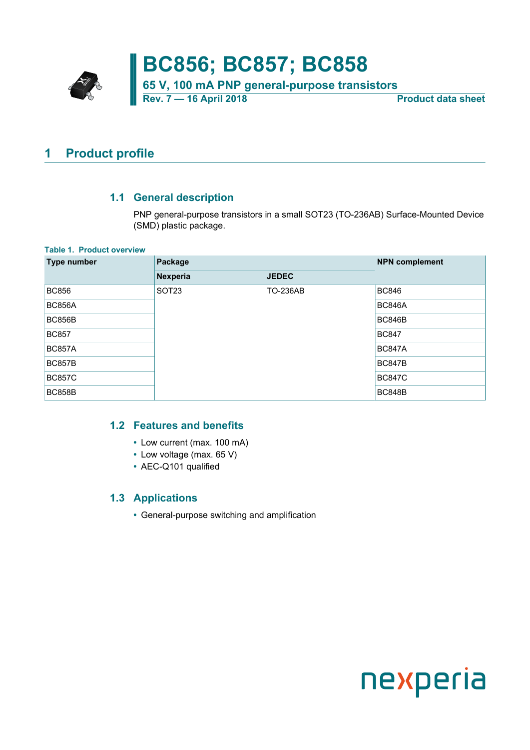

**Rev. 7 — 16 April 2018 Product data sheet**

## <span id="page-0-0"></span>**1 Product profile**

## **1.1 General description**

<span id="page-0-1"></span>PNP general-purpose transistors in a small SOT23 (TO-236AB) Surface-Mounted Device (SMD) plastic package.

### **Table 1. Product overview**

| <b>Type number</b> | Package                  | <b>NPN complement</b> |               |
|--------------------|--------------------------|-----------------------|---------------|
|                    | Nexperia<br><b>JEDEC</b> |                       |               |
| <b>BC856</b>       | SOT <sub>23</sub>        | <b>TO-236AB</b>       | <b>BC846</b>  |
| <b>BC856A</b>      |                          |                       | <b>BC846A</b> |
| <b>BC856B</b>      |                          |                       | <b>BC846B</b> |
| <b>BC857</b>       |                          |                       | <b>BC847</b>  |
| <b>BC857A</b>      |                          |                       | <b>BC847A</b> |
| <b>BC857B</b>      |                          |                       | <b>BC847B</b> |
| <b>BC857C</b>      |                          |                       | <b>BC847C</b> |
| <b>BC858B</b>      |                          |                       | <b>BC848B</b> |

### **1.2 Features and benefits**

- <span id="page-0-2"></span>**•** Low current (max. 100 mA)
- **•** Low voltage (max. 65 V)
- **•** AEC-Q101 qualified

### **1.3 Applications**

<span id="page-0-3"></span>**•** General-purpose switching and amplification

# nexperia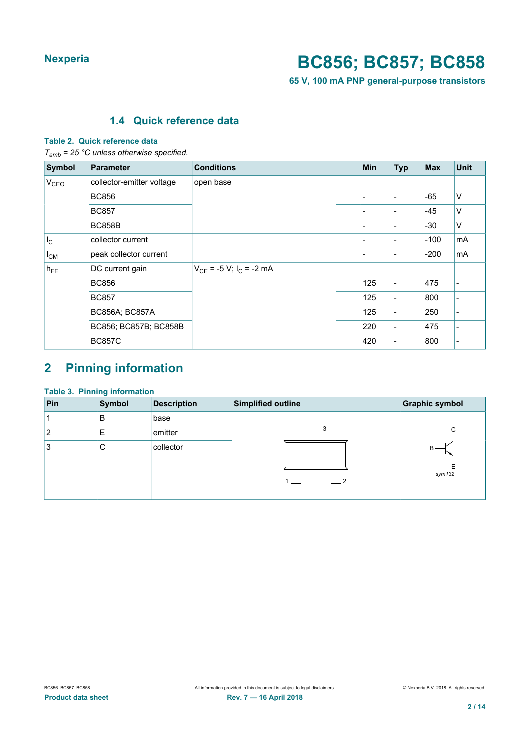**65 V, 100 mA PNP general-purpose transistors**

## <span id="page-1-0"></span>**1.4 Quick reference data**

### **Table 2. Quick reference data**

*Tamb = 25 °C unless otherwise specified.*

| Symbol           | <b>Parameter</b>          | <b>Conditions</b>              | Min                      | <b>Typ</b>               | <b>Max</b> | <b>Unit</b>    |
|------------------|---------------------------|--------------------------------|--------------------------|--------------------------|------------|----------------|
| V <sub>CEO</sub> | collector-emitter voltage | open base                      |                          |                          |            |                |
|                  | <b>BC856</b>              |                                |                          | ۰                        | -65        | ٧              |
|                  | <b>BC857</b>              |                                | $\overline{\phantom{a}}$ | ۰                        | -45        | V              |
|                  | <b>BC858B</b>             |                                | $\overline{\phantom{0}}$ |                          | $-30$      | V              |
| $I_{\rm C}$      | collector current         |                                | $\blacksquare$           |                          | $-100$     | mA             |
| $I_{CM}$         | peak collector current    |                                | $\overline{\phantom{a}}$ | $\overline{\phantom{a}}$ | $-200$     | m <sub>A</sub> |
| $h_{FE}$         | DC current gain           | $V_{CE}$ = -5 V; $I_C$ = -2 mA |                          |                          |            |                |
|                  | <b>BC856</b>              |                                | 125                      |                          | 475        |                |
|                  | <b>BC857</b>              |                                | 125                      | $\overline{\phantom{a}}$ | 800        | $\blacksquare$ |
|                  | <b>BC856A; BC857A</b>     |                                | 125                      | $\overline{\phantom{a}}$ | 250        | $\blacksquare$ |
|                  | BC856; BC857B; BC858B     |                                | 220                      | $\overline{\phantom{a}}$ | 475        |                |
|                  | <b>BC857C</b>             |                                | 420                      | $\overline{\phantom{a}}$ | 800        | $\blacksquare$ |

## <span id="page-1-1"></span>**2 Pinning information**

### **Table 3. Pinning information**

| Pin            | Symbol | <b>Description</b> | <b>Simplified outline</b> | <b>Graphic symbol</b> |
|----------------|--------|--------------------|---------------------------|-----------------------|
|                | B      | base               |                           |                       |
| $\overline{2}$ | E      | emitter            |                           | C                     |
| Ι3             | C      | collector          |                           | B<br>sym132           |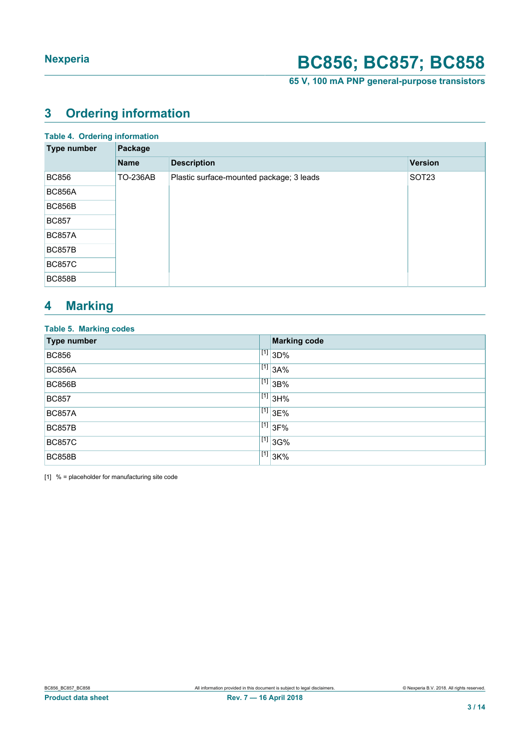## <span id="page-2-1"></span><span id="page-2-0"></span>**3 Ordering information**

| <b>Table 4. Ordering information</b> |                 |                                          |                   |  |  |  |  |
|--------------------------------------|-----------------|------------------------------------------|-------------------|--|--|--|--|
| Type number                          | Package         |                                          |                   |  |  |  |  |
|                                      | <b>Name</b>     | <b>Description</b>                       | <b>Version</b>    |  |  |  |  |
| <b>BC856</b>                         | <b>TO-236AB</b> | Plastic surface-mounted package; 3 leads | SOT <sub>23</sub> |  |  |  |  |
| <b>BC856A</b>                        |                 |                                          |                   |  |  |  |  |
| <b>BC856B</b>                        |                 |                                          |                   |  |  |  |  |
| <b>BC857</b>                         |                 |                                          |                   |  |  |  |  |
| <b>BC857A</b>                        |                 |                                          |                   |  |  |  |  |
| <b>BC857B</b>                        |                 |                                          |                   |  |  |  |  |
| <b>BC857C</b>                        |                 |                                          |                   |  |  |  |  |
| <b>BC858B</b>                        |                 |                                          |                   |  |  |  |  |

## <span id="page-2-2"></span>**4 Marking**

| <b>Table 5. Marking codes</b> |  |                      |  |  |  |
|-------------------------------|--|----------------------|--|--|--|
| <b>Type number</b>            |  | <b>Marking code</b>  |  |  |  |
| <b>BC856</b>                  |  | $\overline{[1]}$ 3D% |  |  |  |
| <b>BC856A</b>                 |  | $11$ 3A%             |  |  |  |
| <b>BC856B</b>                 |  | $11$ 3B%             |  |  |  |
| <b>BC857</b>                  |  | $11$ 3H%             |  |  |  |
| <b>BC857A</b>                 |  | $^{[1]}$ 3E%         |  |  |  |
| <b>BC857B</b>                 |  | $1^{11}$ 3F%         |  |  |  |
| <b>BC857C</b>                 |  | $1^{11}$ 3G%         |  |  |  |
| <b>BC858B</b>                 |  | $^{[1]}$ 3K%         |  |  |  |

[1] % = placeholder for manufacturing site code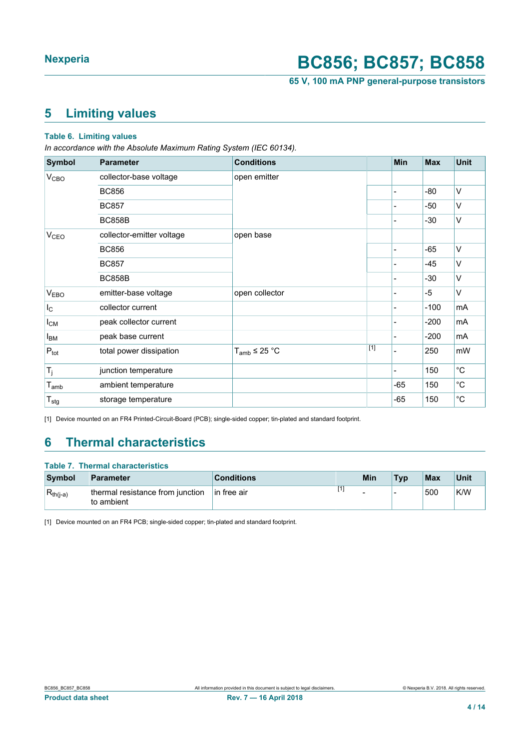## <span id="page-3-1"></span><span id="page-3-0"></span>**5 Limiting values**

### **Table 6. Limiting values**

*In accordance with the Absolute Maximum Rating System (IEC 60134).*

| <b>Symbol</b>               | <b>Parameter</b>          | <b>Conditions</b> |     | Min                      | <b>Max</b> | <b>Unit</b>       |
|-----------------------------|---------------------------|-------------------|-----|--------------------------|------------|-------------------|
| V <sub>CBO</sub>            | collector-base voltage    | open emitter      |     |                          |            |                   |
|                             | <b>BC856</b>              |                   |     | $\overline{a}$           | $-80$      | V                 |
|                             | <b>BC857</b>              |                   |     |                          | $-50$      | V                 |
|                             | <b>BC858B</b>             |                   |     |                          | $-30$      | V                 |
| V <sub>CEO</sub>            | collector-emitter voltage | open base         |     |                          |            |                   |
|                             | <b>BC856</b>              |                   |     |                          | $-65$      | V                 |
|                             | <b>BC857</b>              |                   |     | ۳                        | $-45$      | V                 |
|                             | <b>BC858B</b>             |                   |     | $\overline{\phantom{a}}$ | $-30$      | V                 |
| V <sub>EBO</sub>            | emitter-base voltage      | open collector    |     |                          | -5         | V                 |
| $I_{\rm C}$                 | collector current         |                   |     |                          | $-100$     | mA                |
| $I_{CM}$                    | peak collector current    |                   |     |                          | $-200$     | mA                |
| <b>I</b> <sub>BM</sub>      | peak base current         |                   |     |                          | $-200$     | mA                |
| $P_{\text{tot}}$            | total power dissipation   | $T_{amb}$ ≤ 25 °C | [1] |                          | 250        | mW                |
| $T_j$                       | junction temperature      |                   |     |                          | 150        | $^{\circ}C$       |
| $\mathsf{T}_{\mathsf{amb}}$ | ambient temperature       |                   |     | $-65$                    | 150        | $^{\circ}{\rm C}$ |
| $\mathsf{T}_{\textsf{stg}}$ | storage temperature       |                   |     | $-65$                    | 150        | $^{\circ}{\rm C}$ |

[1] Device mounted on an FR4 Printed-Circuit-Board (PCB); single-sided copper; tin-plated and standard footprint.

## <span id="page-3-2"></span>**6 Thermal characteristics**

## **Table 7. Thermal characteristics**

| Symbol        | Parameter                                      | <b>Conditions</b> |       | Min | <b>Typ</b> | <b>Max</b> | Unit |
|---------------|------------------------------------------------|-------------------|-------|-----|------------|------------|------|
| $R_{th(i-a)}$ | thermal resistance from junction<br>to ambient | l in free air     | $[1]$ |     | -          | 500        | K/W  |

[1] Device mounted on an FR4 PCB; single-sided copper; tin-plated and standard footprint.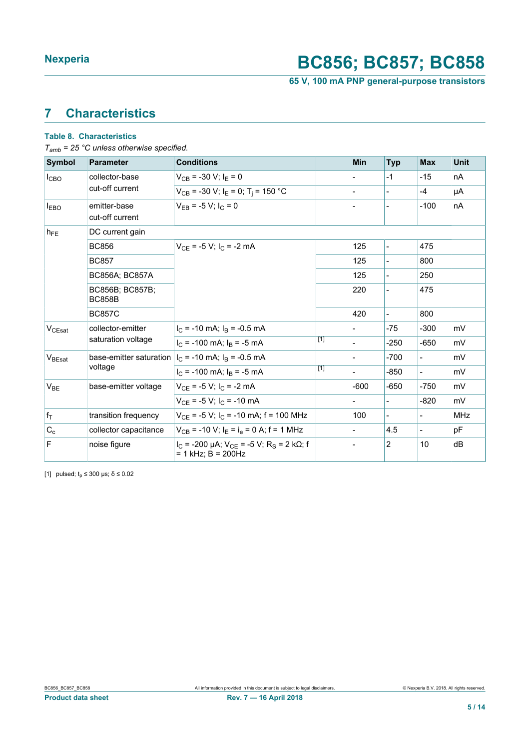**65 V, 100 mA PNP general-purpose transistors**

## <span id="page-4-1"></span><span id="page-4-0"></span>**7 Characteristics**

### **Table 8. Characteristics**

*Tamb = 25 °C unless otherwise specified.*

| <b>Symbol</b>      | <b>Parameter</b>                 | <b>Conditions</b>                                                                           |       | <b>Min</b>     | <b>Typ</b>               | <b>Max</b>               | <b>Unit</b> |
|--------------------|----------------------------------|---------------------------------------------------------------------------------------------|-------|----------------|--------------------------|--------------------------|-------------|
| I <sub>CBO</sub>   | collector-base                   | $V_{CB}$ = -30 V; $I_F$ = 0                                                                 |       |                | $-1$                     | $-15$                    | nA          |
|                    | cut-off current                  | $V_{CB}$ = -30 V; $I_E$ = 0; T <sub>i</sub> = 150 °C                                        |       |                | $\overline{\phantom{a}}$ | $-4$                     | μA          |
| <b>IEBO</b>        | emitter-base<br>cut-off current  | $V_{FB}$ = -5 V; $I_C$ = 0                                                                  |       |                |                          | $-100$                   | nA          |
| $h_{FE}$           | DC current gain                  |                                                                                             |       |                |                          |                          |             |
|                    | <b>BC856</b>                     | $V_{CF}$ = -5 V; $I_C$ = -2 mA                                                              |       | 125            | $\blacksquare$           | 475                      |             |
|                    | <b>BC857</b>                     |                                                                                             |       | 125            | $\overline{\phantom{a}}$ | 800                      |             |
|                    | <b>BC856A; BC857A</b>            |                                                                                             |       | 125            | $\blacksquare$           | 250                      |             |
|                    | BC856B; BC857B;<br><b>BC858B</b> |                                                                                             |       | 220            | $\frac{1}{2}$            | 475                      |             |
|                    | <b>BC857C</b>                    |                                                                                             |       | 420            | $\frac{1}{2}$            | 800                      |             |
| $V_{CEsat}$        | collector-emitter                | $I_C$ = -10 mA; $I_B$ = -0.5 mA                                                             |       | $\overline{a}$ | $-75$                    | $-300$                   | mV          |
|                    | saturation voltage               | $I_C$ = -100 mA; $I_R$ = -5 mA                                                              | $[1]$ | $\overline{a}$ | $-250$                   | $-650$                   | mV          |
| $V_{\text{BEsat}}$ | base-emitter saturation          | $I_C$ = -10 mA; $I_B$ = -0.5 mA                                                             |       |                | $-700$                   | $\overline{\phantom{0}}$ | mV          |
|                    | voltage                          | $I_C$ = -100 mA; $I_B$ = -5 mA                                                              | [1]   |                | $-850$                   | $\overline{\phantom{a}}$ | mV          |
| $V_{BE}$           | base-emitter voltage             | $V_{CE}$ = -5 V; $I_C$ = -2 mA                                                              |       | $-600$         | $-650$                   | $-750$                   | mV          |
|                    |                                  | $V_{CE}$ = -5 V; $I_C$ = -10 mA                                                             |       | $\overline{a}$ | $\overline{\phantom{a}}$ | $-820$                   | mV          |
| $f_T$              | transition frequency             | $V_{CF}$ = -5 V; $I_C$ = -10 mA; f = 100 MHz                                                |       | 100            | $\blacksquare$           |                          | <b>MHz</b>  |
| $\mathrm{C_{c}}$   | collector capacitance            | $V_{CB}$ = -10 V; $I_E$ = $I_e$ = 0 A; f = 1 MHz                                            |       | $\overline{a}$ | 4.5                      | $\overline{\phantom{a}}$ | pF          |
| $\mathsf{F}$       | noise figure                     | $I_C$ = -200 µA; $V_{CE}$ = -5 V; R <sub>S</sub> = 2 k $\Omega$ ; f<br>$= 1$ kHz: B = 200Hz |       |                | $\overline{2}$           | 10                       | dB          |

[1] pulsed;  $t_p \le 300$  μs;  $\delta \le 0.02$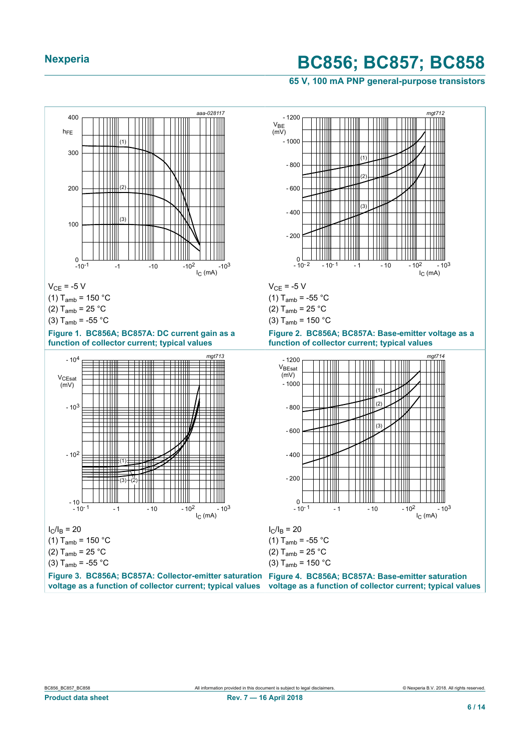**65 V, 100 mA PNP general-purpose transistors**

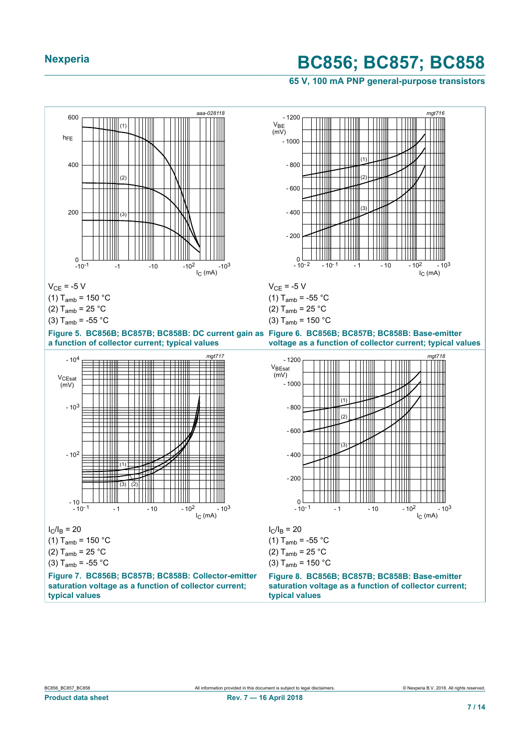**65 V, 100 mA PNP general-purpose transistors**

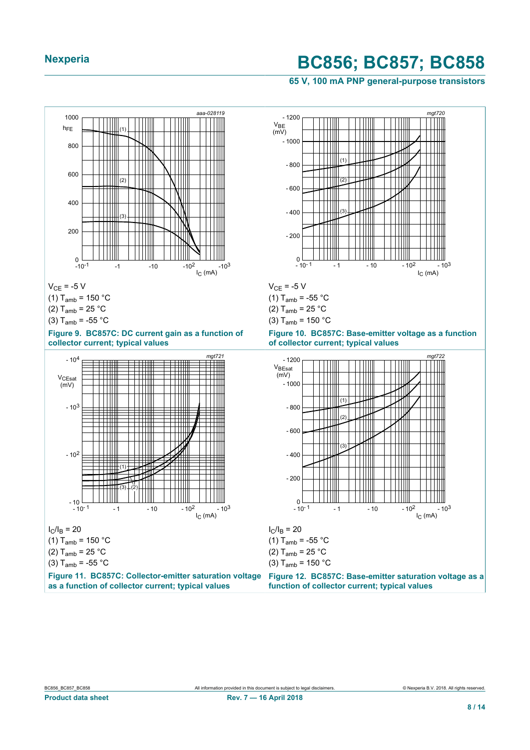**65 V, 100 mA PNP general-purpose transistors**

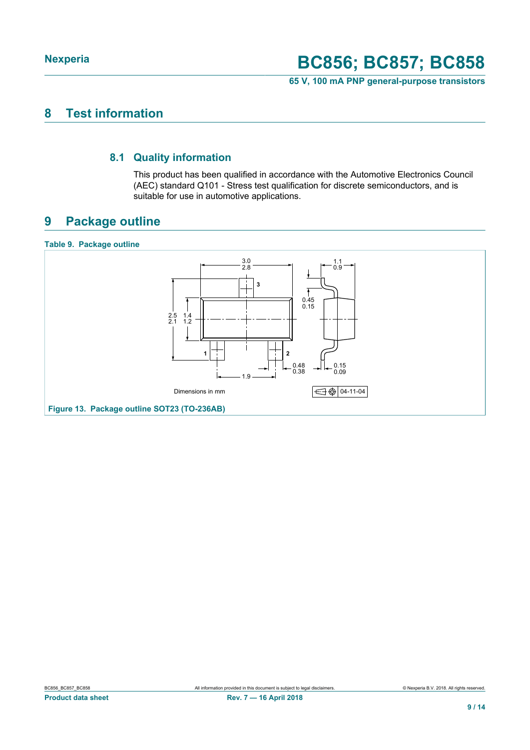## <span id="page-8-0"></span>**8 Test information**

## **8.1 Quality information**

<span id="page-8-1"></span>This product has been qualified in accordance with the Automotive Electronics Council (AEC) standard Q101 - Stress test qualification for discrete semiconductors, and is suitable for use in automotive applications.

## <span id="page-8-2"></span>**9 Package outline**

### **Table 9. Package outline**

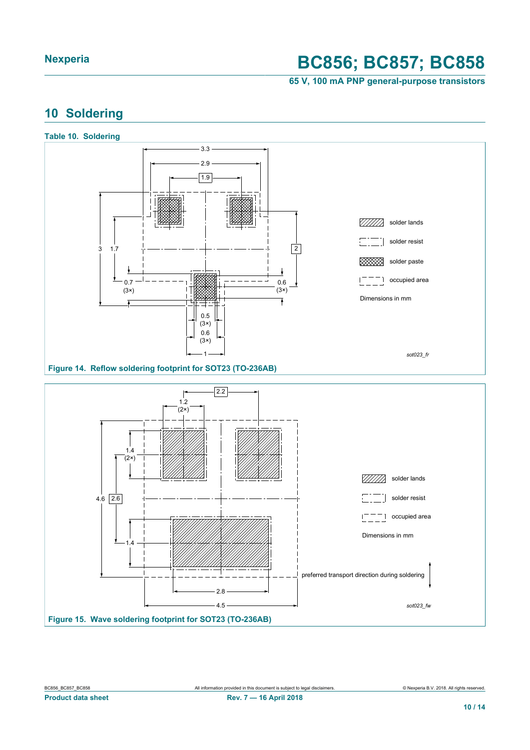**65 V, 100 mA PNP general-purpose transistors**

## <span id="page-9-0"></span>**10 Soldering**

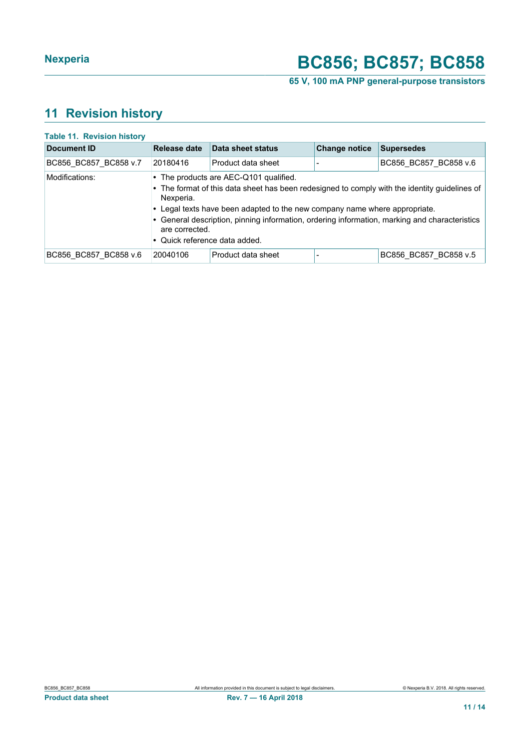## <span id="page-10-0"></span>**11 Revision history**

| <b>Table 11. Revision history</b> |                                                              |                                                                                                                      |                      |                                                                                                                                                                                                |  |  |  |
|-----------------------------------|--------------------------------------------------------------|----------------------------------------------------------------------------------------------------------------------|----------------------|------------------------------------------------------------------------------------------------------------------------------------------------------------------------------------------------|--|--|--|
| Document ID                       | Release date                                                 | Data sheet status                                                                                                    | <b>Change notice</b> | <b>Supersedes</b>                                                                                                                                                                              |  |  |  |
| BC856 BC857 BC858 v.7             | 20180416                                                     | Product data sheet                                                                                                   |                      | BC856 BC857 BC858 v.6                                                                                                                                                                          |  |  |  |
| Modifications:                    | Nexperia.<br>are corrected.<br>• Quick reference data added. | • The products are AEC-Q101 qualified.<br>• Legal texts have been adapted to the new company name where appropriate. |                      | • The format of this data sheet has been redesigned to comply with the identity guidelines of<br>• General description, pinning information, ordering information, marking and characteristics |  |  |  |
| BC856 BC857 BC858 v.6             | 20040106                                                     | Product data sheet                                                                                                   |                      | BC856 BC857 BC858 v.5                                                                                                                                                                          |  |  |  |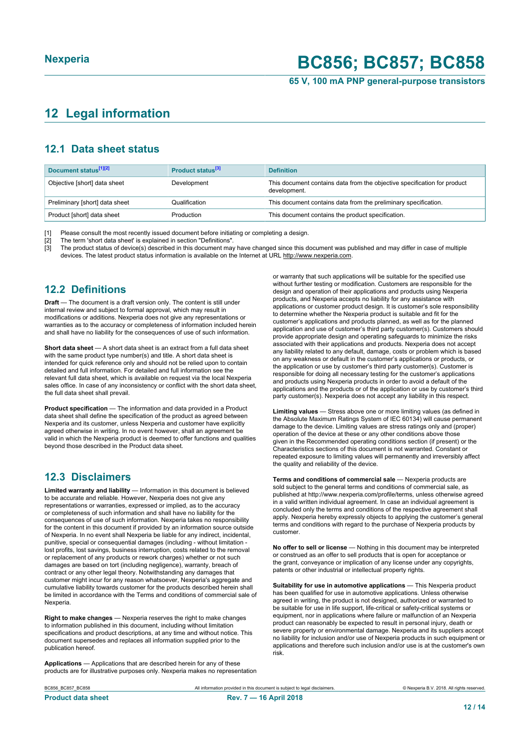## <span id="page-11-0"></span>**12 Legal information**

## **12.1 Data sheet status**

| Document status <sup>[1][2]</sup> | Product status <sup>[3]</sup> | <b>Definition</b>                                                                        |
|-----------------------------------|-------------------------------|------------------------------------------------------------------------------------------|
| Objective [short] data sheet      | Development                   | This document contains data from the objective specification for product<br>development. |
| Preliminary [short] data sheet    | Qualification                 | This document contains data from the preliminary specification.                          |
| Product [short] data sheet        | Production                    | This document contains the product specification.                                        |

[1] Please consult the most recently issued document before initiating or completing a design.

[2] The term 'short data sheet' is explained in section "Definitions".<br>[3] The product status of device(s) described in this document may [3] The product status of device(s) described in this document may have changed since this document was published and may differ in case of multiple devices. The latest product status information is available on the Internet at URL http://www.nexperia.com.

## **12.2 Definitions**

**Draft** — The document is a draft version only. The content is still under internal review and subject to formal approval, which may result in modifications or additions. Nexperia does not give any representations or warranties as to the accuracy or completeness of information included herein and shall have no liability for the consequences of use of such information.

**Short data sheet** — A short data sheet is an extract from a full data sheet with the same product type number(s) and title. A short data sheet is intended for quick reference only and should not be relied upon to contain detailed and full information. For detailed and full information see the relevant full data sheet, which is available on request via the local Nexperia sales office. In case of any inconsistency or conflict with the short data sheet, the full data sheet shall prevail.

**Product specification** — The information and data provided in a Product data sheet shall define the specification of the product as agreed between Nexperia and its customer, unless Nexperia and customer have explicitly agreed otherwise in writing. In no event however, shall an agreement be valid in which the Nexperia product is deemed to offer functions and qualities beyond those described in the Product data sheet.

## **12.3 Disclaimers**

**Limited warranty and liability** — Information in this document is believed to be accurate and reliable. However, Nexperia does not give any representations or warranties, expressed or implied, as to the accuracy or completeness of such information and shall have no liability for the consequences of use of such information. Nexperia takes no responsibility for the content in this document if provided by an information source outside of Nexperia. In no event shall Nexperia be liable for any indirect, incidental, punitive, special or consequential damages (including - without limitation lost profits, lost savings, business interruption, costs related to the removal or replacement of any products or rework charges) whether or not such damages are based on tort (including negligence), warranty, breach of contract or any other legal theory. Notwithstanding any damages that customer might incur for any reason whatsoever, Nexperia's aggregate and cumulative liability towards customer for the products described herein shall be limited in accordance with the Terms and conditions of commercial sale of Nexperia.

**Right to make changes** — Nexperia reserves the right to make changes to information published in this document, including without limitation specifications and product descriptions, at any time and without notice. This document supersedes and replaces all information supplied prior to the publication hereof.

**Applications** — Applications that are described herein for any of these products are for illustrative purposes only. Nexperia makes no representation or warranty that such applications will be suitable for the specified use without further testing or modification. Customers are responsible for the design and operation of their applications and products using Nexperia products, and Nexperia accepts no liability for any assistance with applications or customer product design. It is customer's sole responsibility to determine whether the Nexperia product is suitable and fit for the customer's applications and products planned, as well as for the planned application and use of customer's third party customer(s). Customers should provide appropriate design and operating safeguards to minimize the risks associated with their applications and products. Nexperia does not accept any liability related to any default, damage, costs or problem which is based on any weakness or default in the customer's applications or products, or the application or use by customer's third party customer(s). Customer is responsible for doing all necessary testing for the customer's applications and products using Nexperia products in order to avoid a default of the applications and the products or of the application or use by customer's third party customer(s). Nexperia does not accept any liability in this respect.

**Limiting values** — Stress above one or more limiting values (as defined in the Absolute Maximum Ratings System of IEC 60134) will cause permanent damage to the device. Limiting values are stress ratings only and (proper) operation of the device at these or any other conditions above those given in the Recommended operating conditions section (if present) or the Characteristics sections of this document is not warranted. Constant or repeated exposure to limiting values will permanently and irreversibly affect the quality and reliability of the device.

**Terms and conditions of commercial sale** — Nexperia products are sold subject to the general terms and conditions of commercial sale, as published at http://www.nexperia.com/profile/terms, unless otherwise agreed in a valid written individual agreement. In case an individual agreement is concluded only the terms and conditions of the respective agreement shall apply. Nexperia hereby expressly objects to applying the customer's general terms and conditions with regard to the purchase of Nexperia products by customer.

**No offer to sell or license** — Nothing in this document may be interpreted or construed as an offer to sell products that is open for acceptance or the grant, conveyance or implication of any license under any copyrights, patents or other industrial or intellectual property rights.

**Suitability for use in automotive applications** — This Nexperia product has been qualified for use in automotive applications. Unless otherwise agreed in writing, the product is not designed, authorized or warranted to be suitable for use in life support, life-critical or safety-critical systems or equipment, nor in applications where failure or malfunction of an Nexperia product can reasonably be expected to result in personal injury, death or severe property or environmental damage. Nexperia and its suppliers accept no liability for inclusion and/or use of Nexperia products in such equipment or applications and therefore such inclusion and/or use is at the customer's own risk.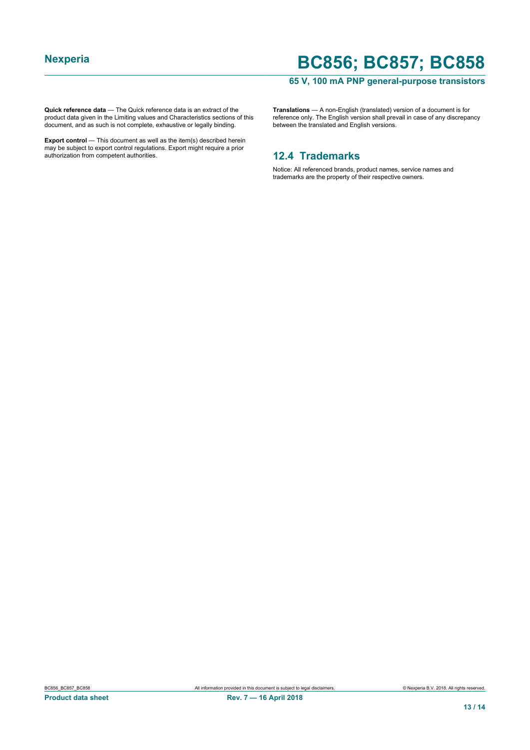## **65 V, 100 mA PNP general-purpose transistors**

**Quick reference data** — The Quick reference data is an extract of the product data given in the Limiting values and Characteristics sections of this document, and as such is not complete, exhaustive or legally binding.

**Export control** — This document as well as the item(s) described herein may be subject to export control regulations. Export might require a prior authorization from competent authorities.

**Translations** — A non-English (translated) version of a document is for reference only. The English version shall prevail in case of any discrepancy between the translated and English versions.

## **12.4 Trademarks**

Notice: All referenced brands, product names, service names and trademarks are the property of their respective owners.